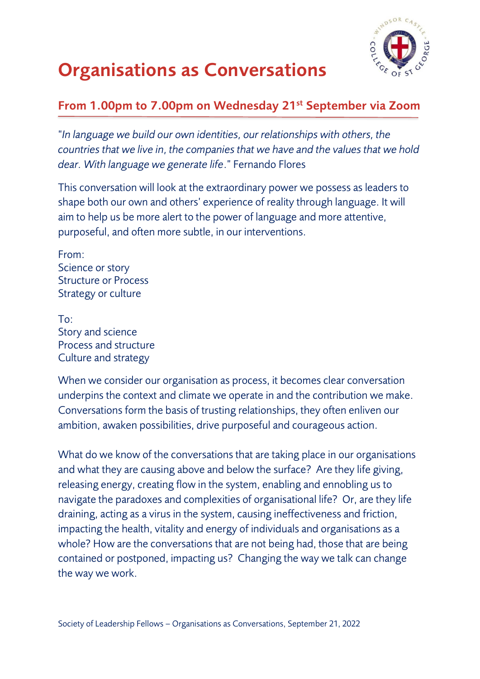

### **Organisations as Conversations**

#### **From 1.00pm to 7.00pm on Wednesday 21st September via Zoom**

"*In language we build our own identities, our relationships with others, the countries that we live in, the companies that we have and the values that we hold dear. With language we generate life*." Fernando Flores

This conversation will look at the extraordinary power we possess as leaders to shape both our own and others' experience of reality through language. It will aim to help us be more alert to the power of language and more attentive, purposeful, and often more subtle, in our interventions.

From: Science or story Structure or Process Strategy or culture

To: Story and science Process and structure Culture and strategy

When we consider our organisation as process, it becomes clear conversation underpins the context and climate we operate in and the contribution we make. Conversations form the basis of trusting relationships, they often enliven our ambition, awaken possibilities, drive purposeful and courageous action.

What do we know of the conversations that are taking place in our organisations and what they are causing above and below the surface? Are they life giving, releasing energy, creating flow in the system, enabling and ennobling us to navigate the paradoxes and complexities of organisational life? Or, are they life draining, acting as a virus in the system, causing ineffectiveness and friction, impacting the health, vitality and energy of individuals and organisations as a whole? How are the conversations that are not being had, those that are being contained or postponed, impacting us? Changing the way we talk can change the way we work.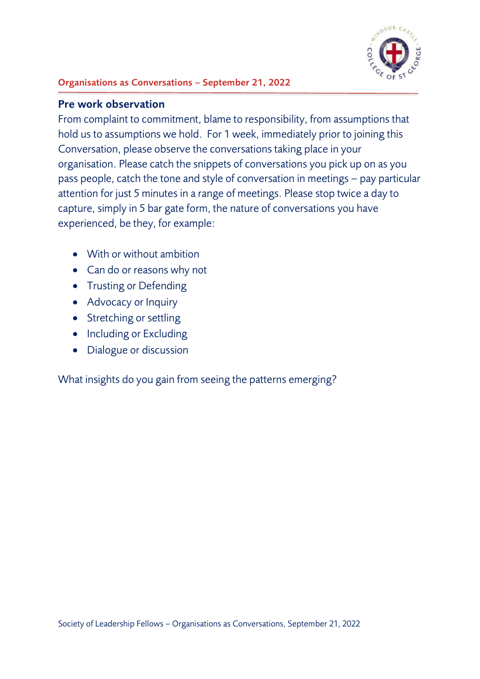

#### **Organisations as Conversations – September 21, 2022**

#### **Pre work observation**

From complaint to commitment, blame to responsibility, from assumptions that hold us to assumptions we hold. For 1 week, immediately prior to joining this Conversation, please observe the conversations taking place in your organisation. Please catch the snippets of conversations you pick up on as you pass people, catch the tone and style of conversation in meetings – pay particular attention for just 5 minutes in a range of meetings. Please stop twice a day to capture, simply in 5 bar gate form, the nature of conversations you have experienced, be they, for example:

- With or without ambition
- Can do or reasons why not
- Trusting or Defending
- Advocacy or Inquiry
- Stretching or settling
- Including or Excluding
- Dialogue or discussion

What insights do you gain from seeing the patterns emerging?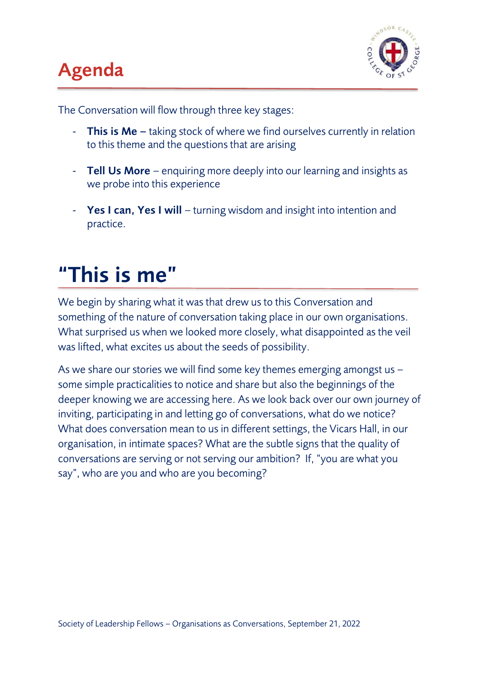## **Agenda**



The Conversation will flow through three key stages:

- **This is Me –** taking stock of where we find ourselves currently in relation to this theme and the questions that are arising
- **Tell Us More**  enquiring more deeply into our learning and insights as we probe into this experience
- **Yes I can, Yes I will**  turning wisdom and insight into intention and practice.

## **"This is me"**

We begin by sharing what it was that drew us to this Conversation and something of the nature of conversation taking place in our own organisations. What surprised us when we looked more closely, what disappointed as the veil was lifted, what excites us about the seeds of possibility.

As we share our stories we will find some key themes emerging amongst us – some simple practicalities to notice and share but also the beginnings of the deeper knowing we are accessing here. As we look back over our own journey of inviting, participating in and letting go of conversations, what do we notice? What does conversation mean to us in different settings, the Vicars Hall, in our organisation, in intimate spaces? What are the subtle signs that the quality of conversations are serving or not serving our ambition? If, "you are what you say", who are you and who are you becoming?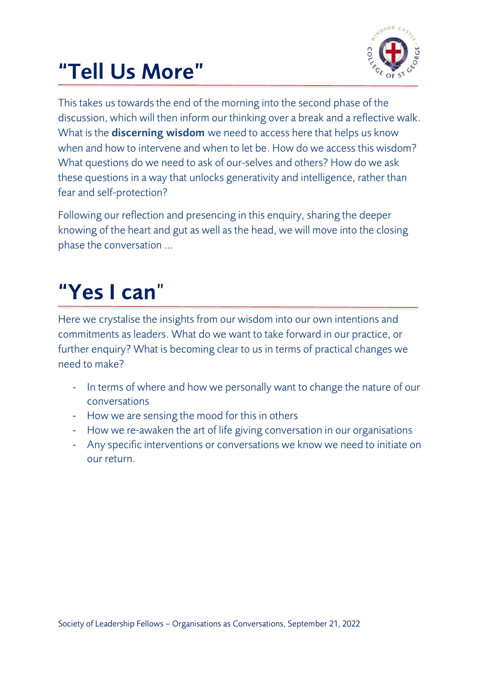# **"Tell Us More"**



This takes us towards the end of the morning into the second phase of the discussion, which will then inform our thinking over a break and a reflective walk. What is the **discerning wisdom** we need to access here that helps us know when and how to intervene and when to let be. How do we access this wisdom? What questions do we need to ask of our-selves and others? How do we ask these questions in a way that unlocks generativity and intelligence, rather than fear and self-protection?

Following our reflection and presencing in this enquiry, sharing the deeper knowing of the heart and gut as well as the head, we will move into the closing phase the conversation …

# **"Yes I can**"

Here we crystalise the insights from our wisdom into our own intentions and commitments as leaders. What do we want to take forward in our practice, or further enquiry? What is becoming clear to us in terms of practical changes we need to make?

- In terms of where and how we personally want to change the nature of our conversations
- How we are sensing the mood for this in others
- How we re-awaken the art of life giving conversation in our organisations
- Any specific interventions or conversations we know we need to initiate on our return.